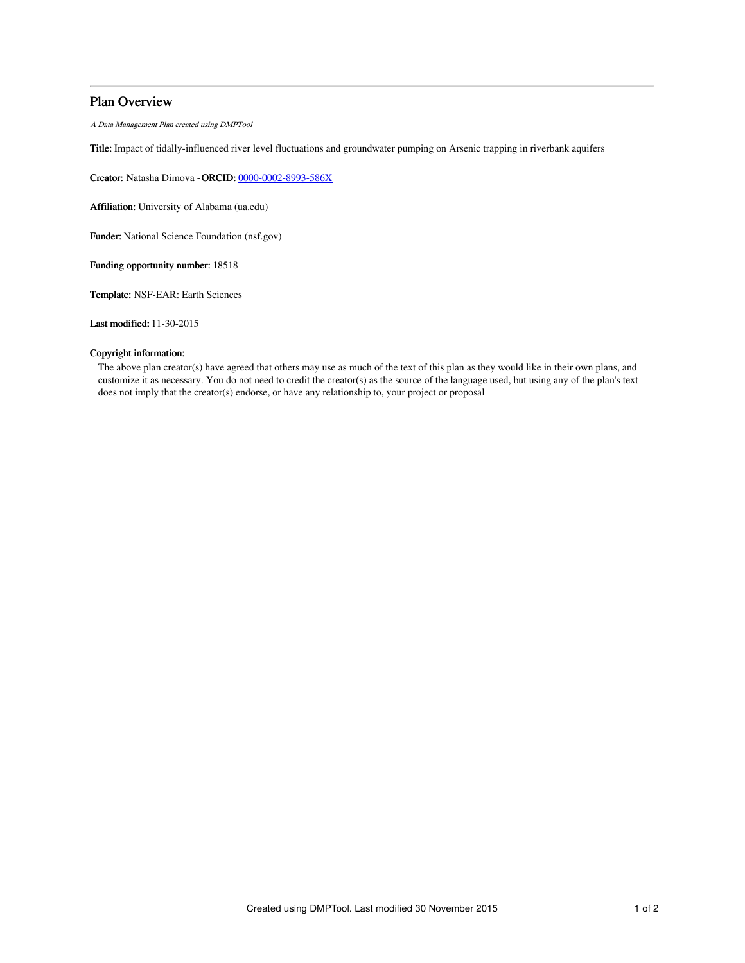## Plan Overview

A Data Management Plan created using DMPTool

Title: Impact of tidally-influenced river level fluctuations and groundwater pumping on Arsenic trapping in riverbank aquifers

Creator: Natasha Dimova -ORCID: [0000-0002-8993-586X](https://orcid.org/0000-0002-8993-586X)

Affiliation: University of Alabama (ua.edu)

Funder: National Science Foundation (nsf.gov)

Funding opportunity number: 18518

Template: NSF-EAR: Earth Sciences

Last modified: 11-30-2015

## Copyright information:

The above plan creator(s) have agreed that others may use as much of the text of this plan as they would like in their own plans, and customize it as necessary. You do not need to credit the creator(s) as the source of the language used, but using any of the plan's text does not imply that the creator(s) endorse, or have any relationship to, your project or proposal